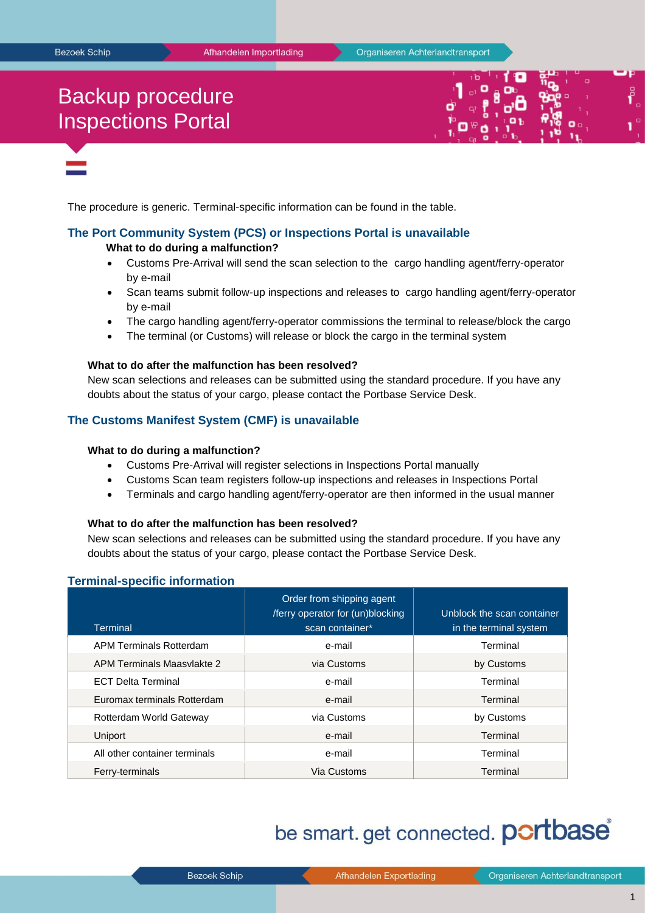# Backup procedure Inspections Portal



The procedure is generic. Terminal-specific information can be found in the table.

## **The Port Community System (PCS) or Inspections Portal is unavailable**

### **What to do during a malfunction?**

- Customs Pre-Arrival will send the scan selection to the cargo handling agent/ferry-operator by e-mail
- Scan teams submit follow-up inspections and releases to cargo handling agent/ferry-operator by e-mail
- The cargo handling agent/ferry-operator commissions the terminal to release/block the cargo
- The terminal (or Customs) will release or block the cargo in the terminal system

### **What to do after the malfunction has been resolved?**

New scan selections and releases can be submitted using the standard procedure. If you have any doubts about the status of your cargo, please contact the Portbase Service Desk.

# **The Customs Manifest System (CMF) is unavailable**

#### **What to do during a malfunction?**

- Customs Pre-Arrival will register selections in Inspections Portal manually
- Customs Scan team registers follow-up inspections and releases in Inspections Portal
- Terminals and cargo handling agent/ferry-operator are then informed in the usual manner

#### **What to do after the malfunction has been resolved?**

New scan selections and releases can be submitted using the standard procedure. If you have any doubts about the status of your cargo, please contact the Portbase Service Desk.

# **Terminal-specific information**

| <b>Terminal</b>                | Order from shipping agent<br>/ferry operator for (un)blocking<br>scan container* | Unblock the scan container<br>in the terminal system |
|--------------------------------|----------------------------------------------------------------------------------|------------------------------------------------------|
| <b>APM Terminals Rotterdam</b> | e-mail                                                                           | Terminal                                             |
| APM Terminals Maasvlakte 2     | via Customs                                                                      | by Customs                                           |
| <b>ECT Delta Terminal</b>      | e-mail                                                                           | Terminal                                             |
| Euromax terminals Rotterdam    | e-mail                                                                           | Terminal                                             |
| Rotterdam World Gateway        | via Customs                                                                      | by Customs                                           |
| Uniport                        | e-mail                                                                           | Terminal                                             |
| All other container terminals  | e-mail                                                                           | Terminal                                             |
| Ferry-terminals                | Via Customs                                                                      | Terminal                                             |

# be smart. get connected. **portbase**